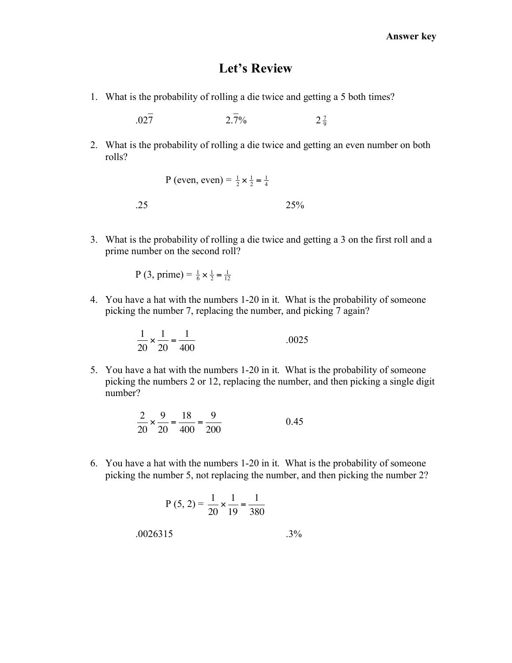## **Let's Review**

1. What is the probability of rolling a die twice and getting a 5 both times?

 $.027$   $2.\overline{7}\%$ 7 9

 $\mathcal{L} = \{ \mathcal{L} \}$ 

2. What is the probability of rolling a die twice and getting an even number on both rolls?

```
P (even, even) = \frac{1}{2} \times \frac{1}{2} = \frac{1}{4}.25 25%
```
3. What is the probability of rolling a die twice and getting a 3 on the first roll and a prime number on the second roll?

P (3, prime) =  $\frac{1}{6} \times \frac{1}{2} = \frac{1}{12}$ 

4. You have a hat with the numbers 1-20 in it. What is the probability of someone picking the number 7, replacing the number, and picking 7 again?

$$
\frac{1}{20} \times \frac{1}{20} = \frac{1}{400}
$$
 0.0025

5. You have a hat with the numbers 1-20 in it. What is the probability of someone picking the numbers 2 or 12, replacing the number, and then picking a single digit number?

$$
\frac{2}{20} \times \frac{9}{20} = \frac{18}{400} = \frac{9}{200}
$$
 0.45

6. You have a hat with the numbers 1-20 in it. What is the probability of someone picking the number 5, not replacing the number, and then picking the number 2?

$$
P(5, 2) = \frac{1}{20} \times \frac{1}{19} = \frac{1}{380}
$$
  
.0026315. .3%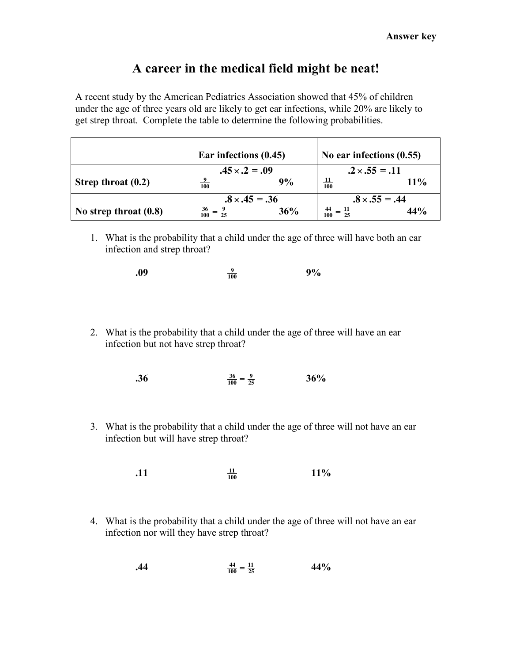## **A career in the medical field might be neat!**

A recent study by the American Pediatrics Association showed that 45% of children under the age of three years old are likely to get ear infections, while 20% are likely to get strep throat. Complete the table to determine the following probabilities.

|                         | Ear infections (0.45) |     | No ear infections $(0.55)$           |     |
|-------------------------|-----------------------|-----|--------------------------------------|-----|
|                         | $.45 \times .2 = .09$ |     | $.2 \times .55 = .11$                |     |
| Strep throat $(0.2)$    | 9<br>100              | 9%  | $\frac{11}{100}$                     | 11% |
|                         | $.8 \times .45 = .36$ |     | $.8 \times .55 = .44$                |     |
| No strep throat $(0.8)$ | $\frac{36}{100}$      | 36% | $=\frac{11}{25}$<br>$\frac{44}{100}$ | 44% |

! ! 1. What is the probability that a child under the age of three will have both an ear ! infection and strep throat?

| .09 | $\Omega$<br>100 | 9% |
|-----|-----------------|----|
|     |                 |    |

2. What is the probability that a child under the age of three will have an ear infection but not have strep throat?

$$
\frac{36}{100} = \frac{9}{25} \qquad \qquad 36\%
$$

! 3. What is the probability that a child under the age of three will not have an ear infection but will have strep throat?

> **.11 11 100 11%**

4. What is the probability that a child under the age of three will not have an ear infection nor will they have strep throat?

$$
\frac{44}{100} = \frac{11}{25} \tag{44\%}
$$